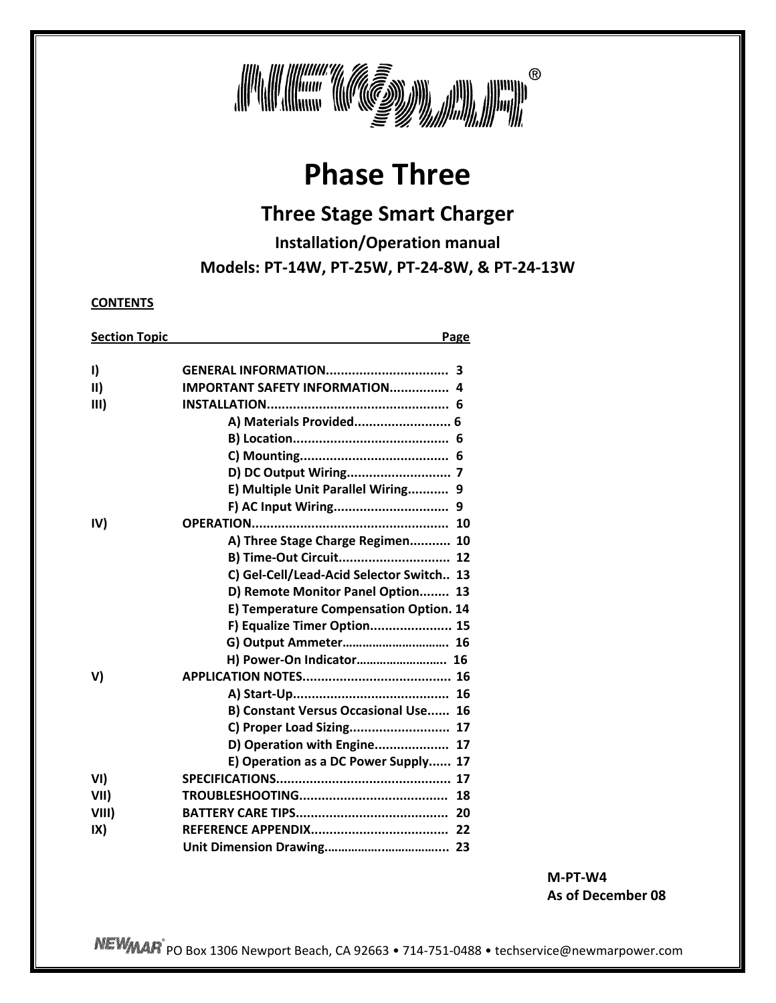

# **Phase Three**

# **Three Stage Smart Charger**

**Installation/Operation manual** 

**Models: PT‐14W, PT‐25W, PT‐24‐8W, & PT‐24‐13W**

**CONTENTS**

| <b>Section Topic</b> |                                          | Page |
|----------------------|------------------------------------------|------|
|                      |                                          |      |
| $\mathsf{I}$         |                                          |      |
| $\vert \vert \vert$  | <b>IMPORTANT SAFETY INFORMATION 4</b>    |      |
| III)                 |                                          |      |
|                      | A) Materials Provided 6                  |      |
|                      |                                          |      |
|                      |                                          |      |
|                      |                                          |      |
|                      | E) Multiple Unit Parallel Wiring 9       |      |
|                      |                                          |      |
| IV)                  |                                          |      |
|                      | A) Three Stage Charge Regimen 10         |      |
|                      | B) Time-Out Circuit 12                   |      |
|                      | C) Gel-Cell/Lead-Acid Selector Switch 13 |      |
|                      | D) Remote Monitor Panel Option 13        |      |
|                      | E) Temperature Compensation Option. 14   |      |
|                      | F) Equalize Timer Option 15              |      |
|                      |                                          |      |
|                      | H) Power-On Indicator 16                 |      |
| V)                   |                                          |      |
|                      |                                          |      |
|                      | B) Constant Versus Occasional Use 16     |      |
|                      | C) Proper Load Sizing 17                 |      |
|                      | D) Operation with Engine 17              |      |
|                      | E) Operation as a DC Power Supply 17     |      |
| VI)                  |                                          |      |
| VII)                 |                                          |      |
| VIII)                |                                          |      |
| IX)                  |                                          |      |
|                      |                                          |      |
|                      |                                          |      |

**M‐PT‐W4 As of December 08**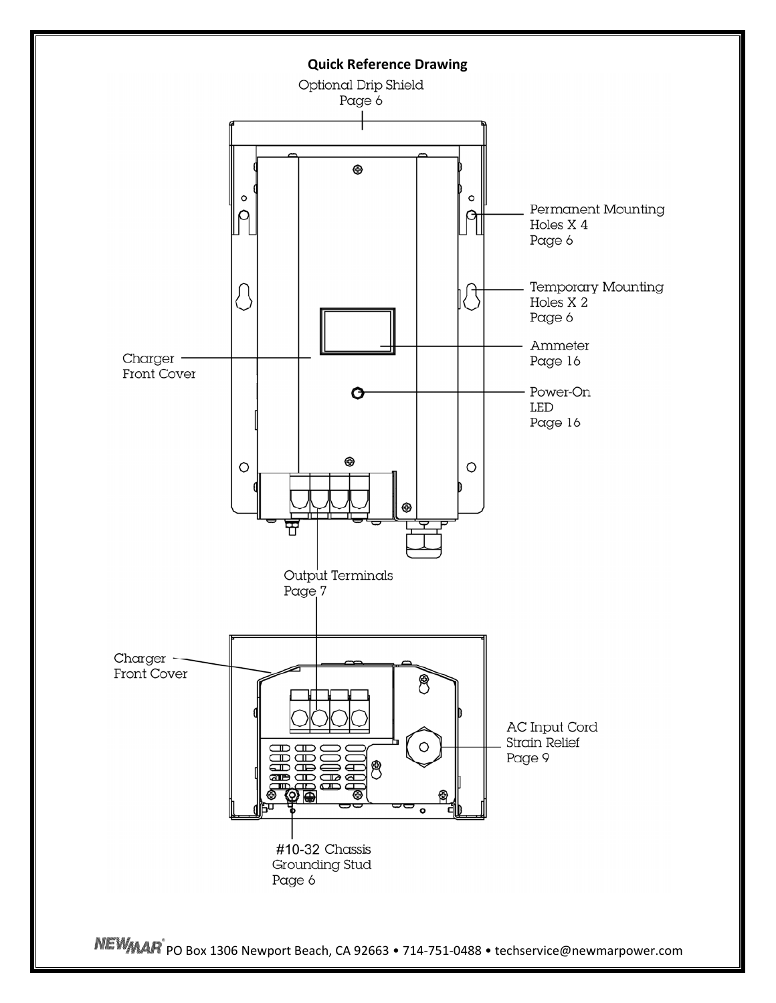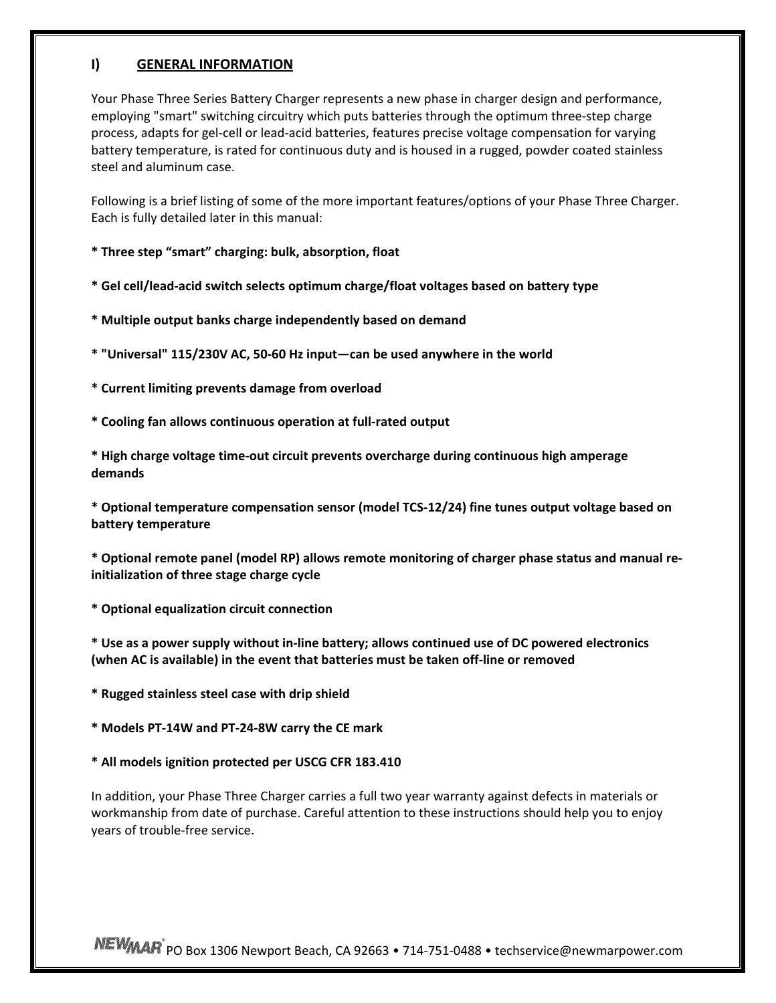#### **I) GENERAL INFORMATION**

Your Phase Three Series Battery Charger represents a new phase in charger design and performance, employing "smart" switching circuitry which puts batteries through the optimum three‐step charge process, adapts for gel‐cell or lead‐acid batteries, features precise voltage compensation for varying battery temperature, is rated for continuous duty and is housed in a rugged, powder coated stainless steel and aluminum case.

Following is a brief listing of some of the more important features/options of your Phase Three Charger. Each is fully detailed later in this manual:

- **\* Three step "smart" charging: bulk, absorption, float**
- **\* Gel cell/lead‐acid switch selects optimum charge/float voltages based on battery type**
- **\* Multiple output banks charge independently based on demand**
- **\* "Universal" 115/230V AC, 50‐60 Hz input—can be used anywhere in the world**
- **\* Current limiting prevents damage from overload**
- **\* Cooling fan allows continuous operation at full‐rated output**

**\* High charge voltage time‐out circuit prevents overcharge during continuous high amperage demands**

**\* Optional temperature compensation sensor (model TCS‐12/24) fine tunes output voltage based on battery temperature**

**\* Optional remote panel (model RP) allows remote monitoring of charger phase status and manual re‐ initialization of three stage charge cycle**

**\* Optional equalization circuit connection**

**\* Use as a power supply without in‐line battery; allows continued use of DC powered electronics (when AC is available) in the event that batteries must be taken off‐line or removed**

- **\* Rugged stainless steel case with drip shield**
- **\* Models PT‐14W and PT‐24‐8W carry the CE mark**
- **\* All models ignition protected per USCG CFR 183.410**

In addition, your Phase Three Charger carries a full two year warranty against defects in materials or workmanship from date of purchase. Careful attention to these instructions should help you to enjoy years of trouble‐free service.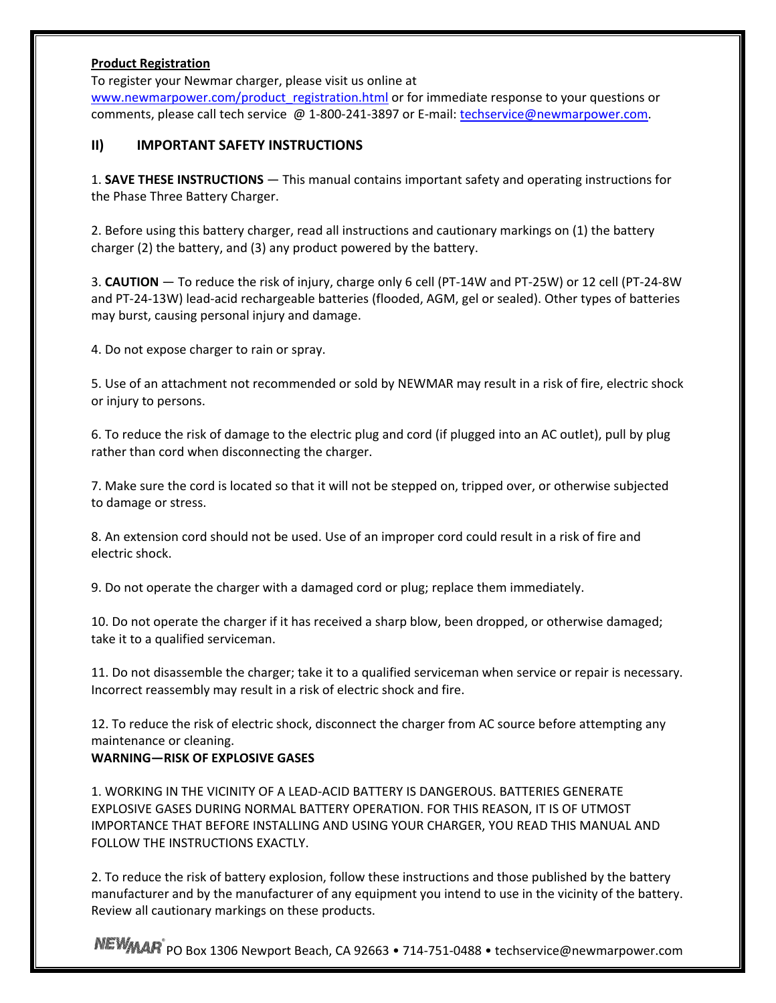#### **Product Registration**

To register your Newmar charger, please visit us online at

www.newmarpower.com/product\_registration.html or for immediate response to your questions or comments, please call tech service @ 1‐800‐241‐3897 or E‐mail: techservice@newmarpower.com.

# **II) IMPORTANT SAFETY INSTRUCTIONS**

1. **SAVE THESE INSTRUCTIONS** — This manual contains important safety and operating instructions for the Phase Three Battery Charger.

2. Before using this battery charger, read all instructions and cautionary markings on (1) the battery charger (2) the battery, and (3) any product powered by the battery.

3. **CAUTION** — To reduce the risk of injury, charge only 6 cell (PT‐14W and PT‐25W) or 12 cell (PT‐24‐8W and PT-24-13W) lead-acid rechargeable batteries (flooded, AGM, gel or sealed). Other types of batteries may burst, causing personal injury and damage.

4. Do not expose charger to rain or spray.

5. Use of an attachment not recommended or sold by NEWMAR may result in a risk of fire, electric shock or injury to persons.

6. To reduce the risk of damage to the electric plug and cord (if plugged into an AC outlet), pull by plug rather than cord when disconnecting the charger.

7. Make sure the cord is located so that it will not be stepped on, tripped over, or otherwise subjected to damage or stress.

8. An extension cord should not be used. Use of an improper cord could result in a risk of fire and electric shock.

9. Do not operate the charger with a damaged cord or plug; replace them immediately.

10. Do not operate the charger if it has received a sharp blow, been dropped, or otherwise damaged; take it to a qualified serviceman.

11. Do not disassemble the charger; take it to a qualified serviceman when service or repair is necessary. Incorrect reassembly may result in a risk of electric shock and fire.

12. To reduce the risk of electric shock, disconnect the charger from AC source before attempting any maintenance or cleaning.

# **WARNING—RISK OF EXPLOSIVE GASES**

1. WORKING IN THE VICINITY OF A LEAD‐ACID BATTERY IS DANGEROUS. BATTERIES GENERATE EXPLOSIVE GASES DURING NORMAL BATTERY OPERATION. FOR THIS REASON, IT IS OF UTMOST IMPORTANCE THAT BEFORE INSTALLING AND USING YOUR CHARGER, YOU READ THIS MANUAL AND FOLLOW THE INSTRUCTIONS EXACTLY.

2. To reduce the risk of battery explosion, follow these instructions and those published by the battery manufacturer and by the manufacturer of any equipment you intend to use in the vicinity of the battery. Review all cautionary markings on these products.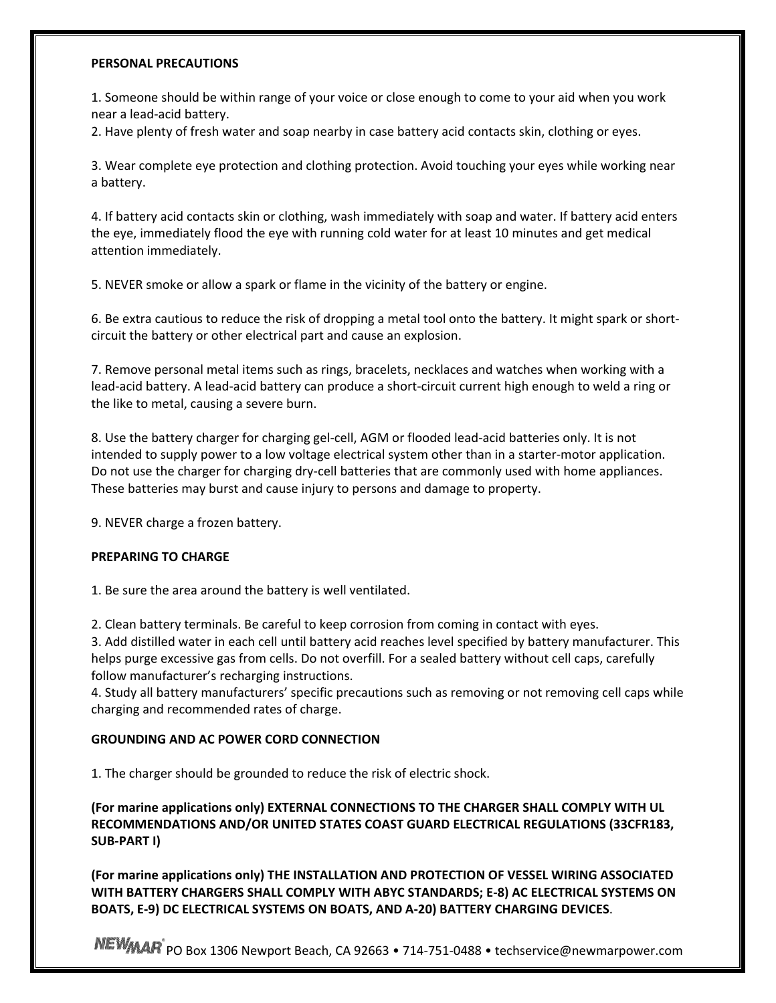#### **PERSONAL PRECAUTIONS**

1. Someone should be within range of your voice or close enough to come to your aid when you work near a lead‐acid battery.

2. Have plenty of fresh water and soap nearby in case battery acid contacts skin, clothing or eyes.

3. Wear complete eye protection and clothing protection. Avoid touching your eyes while working near a battery.

4. If battery acid contacts skin or clothing, wash immediately with soap and water. If battery acid enters the eye, immediately flood the eye with running cold water for at least 10 minutes and get medical attention immediately.

5. NEVER smoke or allow a spark or flame in the vicinity of the battery or engine.

6. Be extra cautious to reduce the risk of dropping a metal tool onto the battery. It might spark or short‐ circuit the battery or other electrical part and cause an explosion.

7. Remove personal metal items such as rings, bracelets, necklaces and watches when working with a lead‐acid battery. A lead‐acid battery can produce a short‐circuit current high enough to weld a ring or the like to metal, causing a severe burn.

8. Use the battery charger for charging gel‐cell, AGM or flooded lead‐acid batteries only. It is not intended to supply power to a low voltage electrical system other than in a starter‐motor application. Do not use the charger for charging dry-cell batteries that are commonly used with home appliances. These batteries may burst and cause injury to persons and damage to property.

9. NEVER charge a frozen battery.

#### **PREPARING TO CHARGE**

1. Be sure the area around the battery is well ventilated.

2. Clean battery terminals. Be careful to keep corrosion from coming in contact with eyes.

3. Add distilled water in each cell until battery acid reaches level specified by battery manufacturer. This helps purge excessive gas from cells. Do not overfill. For a sealed battery without cell caps, carefully follow manufacturer's recharging instructions.

4. Study all battery manufacturers' specific precautions such as removing or not removing cell caps while charging and recommended rates of charge.

#### **GROUNDING AND AC POWER CORD CONNECTION**

1. The charger should be grounded to reduce the risk of electric shock.

**(For marine applications only) EXTERNAL CONNECTIONS TO THE CHARGER SHALL COMPLY WITH UL RECOMMENDATIONS AND/OR UNITED STATES COAST GUARD ELECTRICAL REGULATIONS (33CFR183, SUB‐PART I)**

**(For marine applications only) THE INSTALLATION AND PROTECTION OF VESSEL WIRING ASSOCIATED WITH BATTERY CHARGERS SHALL COMPLY WITH ABYC STANDARDS; E‐8) AC ELECTRICAL SYSTEMS ON BOATS, E‐9) DC ELECTRICAL SYSTEMS ON BOATS, AND A‐20) BATTERY CHARGING DEVICES**.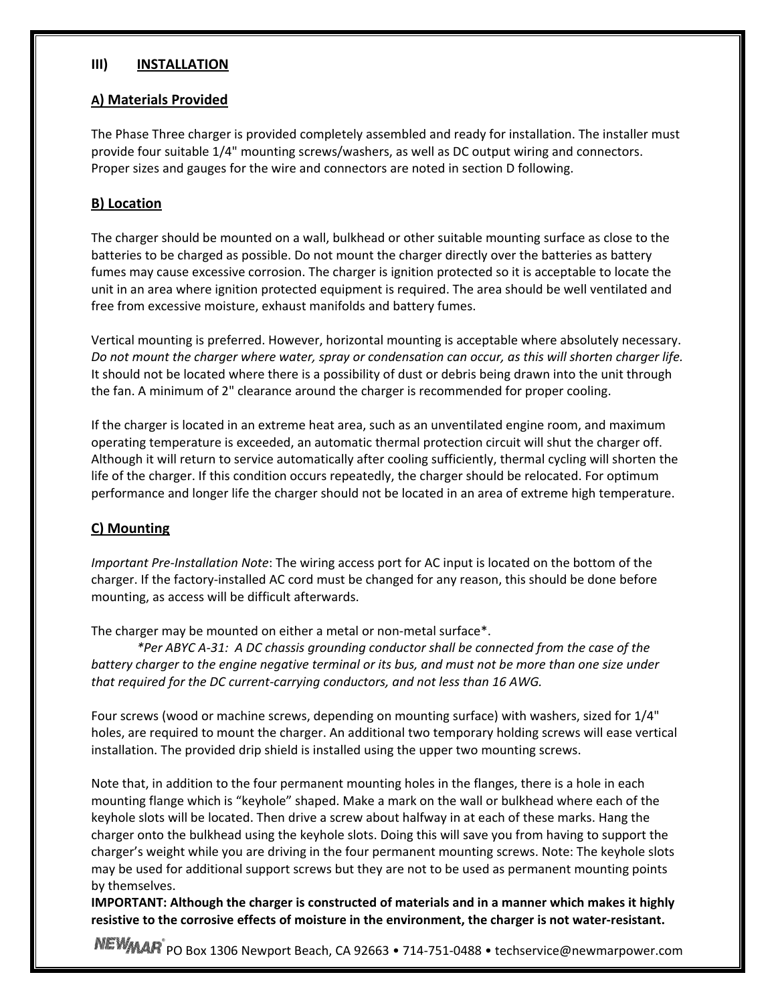#### **III) INSTALLATION**

#### **A) Materials Provided**

The Phase Three charger is provided completely assembled and ready for installation. The installer must provide four suitable 1/4" mounting screws/washers, as well as DC output wiring and connectors. Proper sizes and gauges for the wire and connectors are noted in section D following.

#### **B) Location**

The charger should be mounted on a wall, bulkhead or other suitable mounting surface as close to the batteries to be charged as possible. Do not mount the charger directly over the batteries as battery fumes may cause excessive corrosion. The charger is ignition protected so it is acceptable to locate the unit in an area where ignition protected equipment is required. The area should be well ventilated and free from excessive moisture, exhaust manifolds and battery fumes.

Vertical mounting is preferred. However, horizontal mounting is acceptable where absolutely necessary. Do not mount the charger where water, spray or condensation can occur, as this will shorten charger life. It should not be located where there is a possibility of dust or debris being drawn into the unit through the fan. A minimum of 2" clearance around the charger is recommended for proper cooling.

If the charger is located in an extreme heat area, such as an unventilated engine room, and maximum operating temperature is exceeded, an automatic thermal protection circuit will shut the charger off. Although it will return to service automatically after cooling sufficiently, thermal cycling will shorten the life of the charger. If this condition occurs repeatedly, the charger should be relocated. For optimum performance and longer life the charger should not be located in an area of extreme high temperature.

# **C) Mounting**

*Important Pre‐Installation Note*: The wiring access port for AC input is located on the bottom of the charger. If the factory‐installed AC cord must be changed for any reason, this should be done before mounting, as access will be difficult afterwards.

The charger may be mounted on either a metal or non-metal surface\*.

*\*Per ABYC A‐31: A DC chassis grounding conductor shall be connected from the case of the* battery charger to the engine negative terminal or its bus, and must not be more than one size under *that required for the DC current‐carrying conductors, and not less than 16 AWG.*

Four screws (wood or machine screws, depending on mounting surface) with washers, sized for 1/4" holes, are required to mount the charger. An additional two temporary holding screws will ease vertical installation. The provided drip shield is installed using the upper two mounting screws.

Note that, in addition to the four permanent mounting holes in the flanges, there is a hole in each mounting flange which is "keyhole" shaped. Make a mark on the wall or bulkhead where each of the keyhole slots will be located. Then drive a screw about halfway in at each of these marks. Hang the charger onto the bulkhead using the keyhole slots. Doing this will save you from having to support the charger's weight while you are driving in the four permanent mounting screws. Note: The keyhole slots may be used for additional support screws but they are not to be used as permanent mounting points by themselves.

**IMPORTANT: Although the charger is constructed of materials and in a manner which makes it highly resistive to the corrosive effects of moisture in the environment, the charger is not water‐resistant.**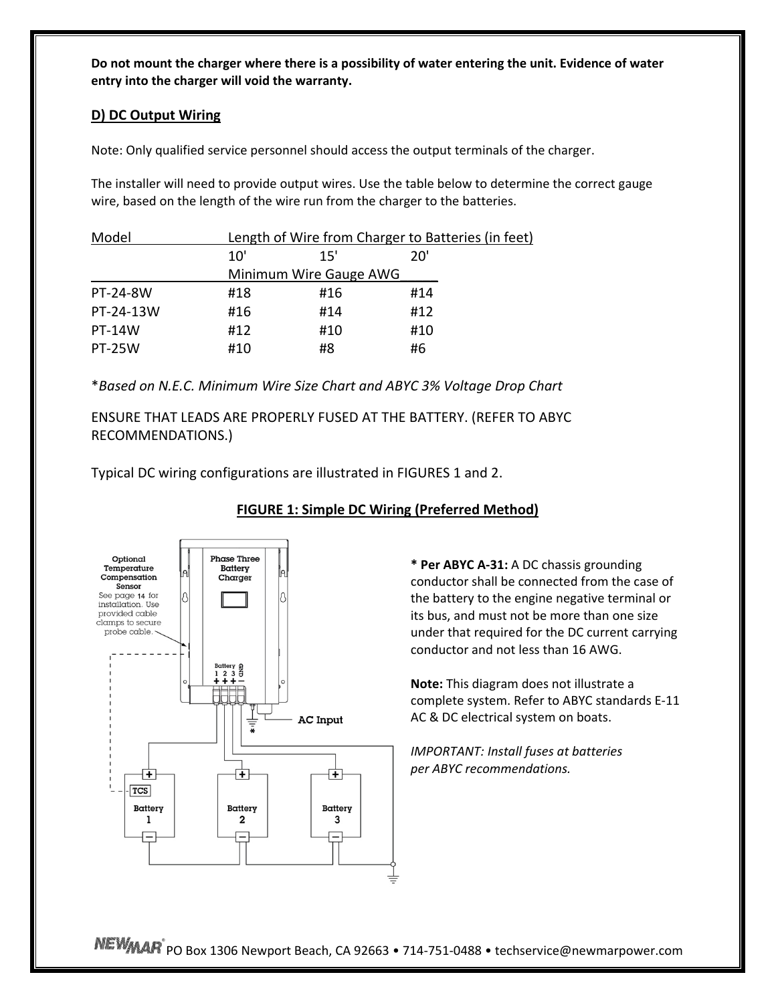Do not mount the charger where there is a possibility of water entering the unit. Evidence of water **entry into the charger will void the warranty.**

#### **D) DC Output Wiring**

Note: Only qualified service personnel should access the output terminals of the charger.

The installer will need to provide output wires. Use the table below to determine the correct gauge wire, based on the length of the wire run from the charger to the batteries.

| Model         |     | Length of Wire from Charger to Batteries (in feet) |     |  |  |  |
|---------------|-----|----------------------------------------------------|-----|--|--|--|
|               | 10' | 15'                                                | 20' |  |  |  |
|               |     | Minimum Wire Gauge AWG                             |     |  |  |  |
| PT-24-8W      | #18 | #16                                                | #14 |  |  |  |
| PT-24-13W     | #16 | #14                                                | #12 |  |  |  |
| <b>PT-14W</b> | #12 | #10                                                | #10 |  |  |  |
| <b>PT-25W</b> | #10 | #8                                                 | #6  |  |  |  |

\**Based on N.E.C. Minimum Wire Size Chart and ABYC 3% Voltage Drop Chart*

ENSURE THAT LEADS ARE PROPERLY FUSED AT THE BATTERY. (REFER TO ABYC RECOMMENDATIONS.)

Typical DC wiring configurations are illustrated in FIGURES 1 and 2.



# **FIGURE 1: Simple DC Wiring (Preferred Method)**

**\* Per ABYC A‐31:** A DC chassis grounding conductor shall be connected from the case of the battery to the engine negative terminal or its bus, and must not be more than one size under that required for the DC current carrying conductor and not less than 16 AWG.

**Note:** This diagram does not illustrate a complete system. Refer to ABYC standards E‐11 AC & DC electrical system on boats.

*IMPORTANT: Install fuses at batteries per ABYC recommendations.*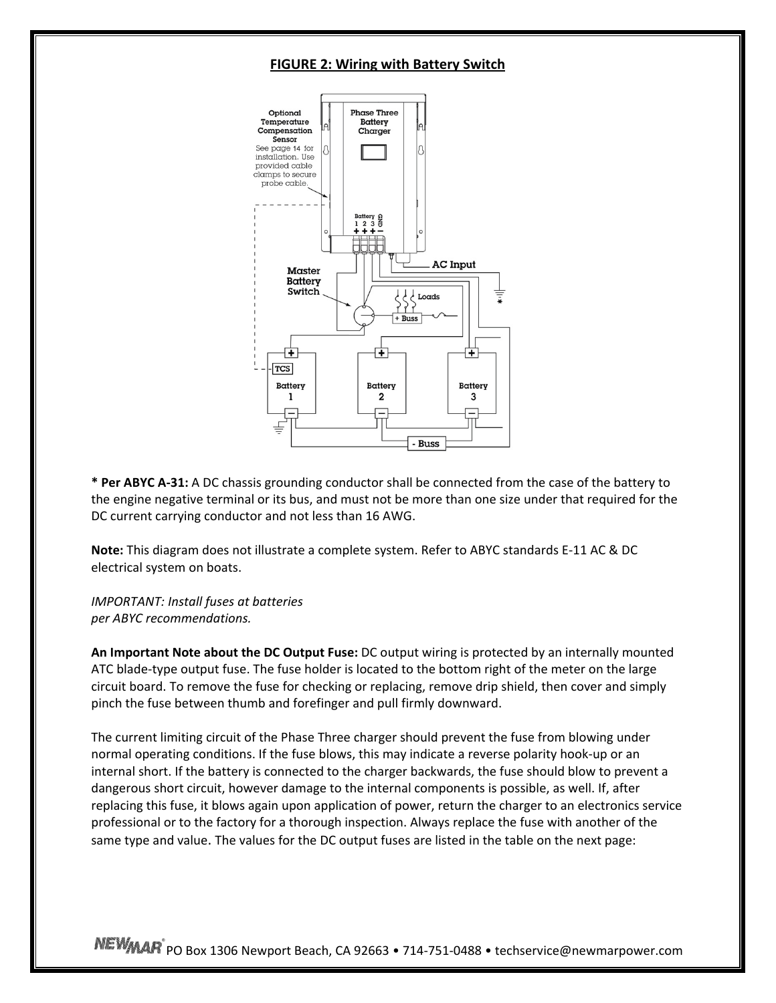#### **FIGURE 2: Wiring with Battery Switch**



**\* Per ABYC A‐31:** A DC chassis grounding conductor shall be connected from the case of the battery to the engine negative terminal or its bus, and must not be more than one size under that required for the DC current carrying conductor and not less than 16 AWG.

**Note:** This diagram does not illustrate a complete system. Refer to ABYC standards E‐11 AC & DC electrical system on boats.

*IMPORTANT: Install fuses at batteries per ABYC recommendations.*

**An Important Note about the DC Output Fuse:** DC output wiring is protected by an internally mounted ATC blade‐type output fuse. The fuse holder is located to the bottom right of the meter on the large circuit board. To remove the fuse for checking or replacing, remove drip shield, then cover and simply pinch the fuse between thumb and forefinger and pull firmly downward.

The current limiting circuit of the Phase Three charger should prevent the fuse from blowing under normal operating conditions. If the fuse blows, this may indicate a reverse polarity hook‐up or an internal short. If the battery is connected to the charger backwards, the fuse should blow to prevent a dangerous short circuit, however damage to the internal components is possible, as well. If, after replacing this fuse, it blows again upon application of power, return the charger to an electronics service professional or to the factory for a thorough inspection. Always replace the fuse with another of the same type and value. The values for the DC output fuses are listed in the table on the next page: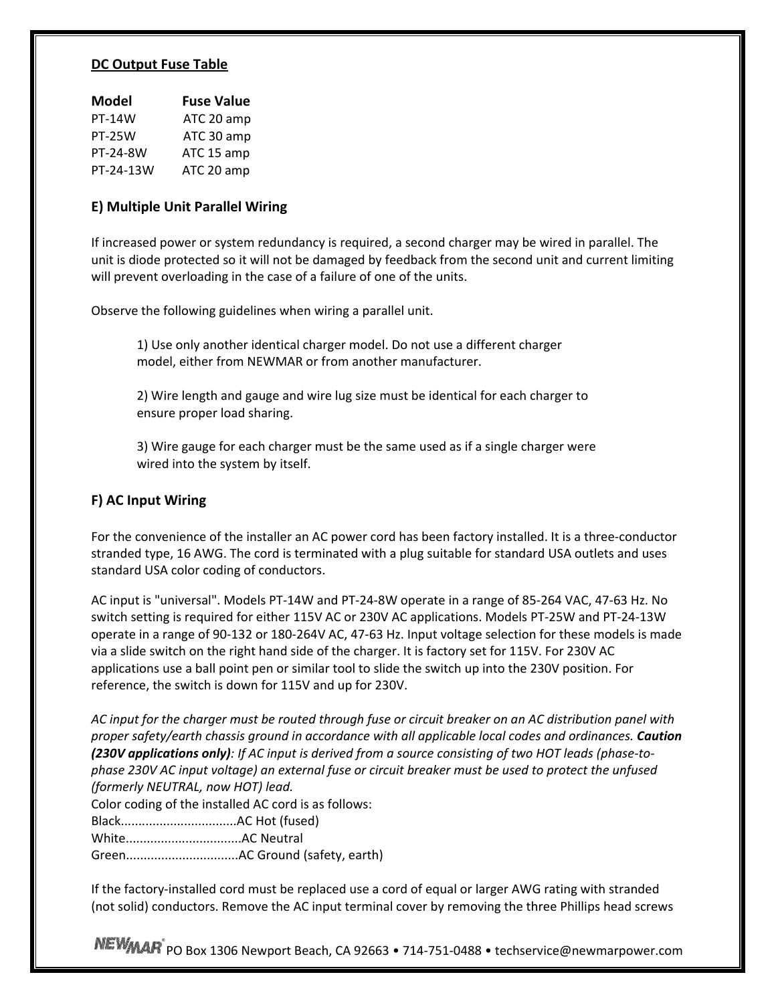#### **DC Output Fuse Table**

| <b>Fuse Value</b> |
|-------------------|
| ATC 20 amp        |
| ATC 30 amp        |
| ATC 15 amp        |
| ATC 20 amp        |
|                   |

#### **E) Multiple Unit Parallel Wiring**

If increased power or system redundancy is required, a second charger may be wired in parallel. The unit is diode protected so it will not be damaged by feedback from the second unit and current limiting will prevent overloading in the case of a failure of one of the units.

Observe the following guidelines when wiring a parallel unit.

1) Use only another identical charger model. Do not use a different charger model, either from NEWMAR or from another manufacturer.

2) Wire length and gauge and wire lug size must be identical for each charger to ensure proper load sharing.

3) Wire gauge for each charger must be the same used as if a single charger were wired into the system by itself.

#### **F) AC Input Wiring**

For the convenience of the installer an AC power cord has been factory installed. It is a three-conductor stranded type, 16 AWG. The cord is terminated with a plug suitable for standard USA outlets and uses standard USA color coding of conductors.

AC input is "universal". Models PT‐14W and PT‐24‐8W operate in a range of 85‐264 VAC, 47‐63 Hz. No switch setting is required for either 115V AC or 230V AC applications. Models PT‐25W and PT‐24‐13W operate in a range of 90‐132 or 180‐264V AC, 47‐63 Hz. Input voltage selection for these models is made via a slide switch on the right hand side of the charger. It is factory set for 115V. For 230V AC applications use a ball point pen or similar tool to slide the switch up into the 230V position. For reference, the switch is down for 115V and up for 230V.

AC input for the charger must be routed through fuse or circuit breaker on an AC distribution panel with *proper safety/earth chassis ground in accordance with all applicable local codes and ordinances. Caution* (230V applications only): If AC input is derived from a source consisting of two HOT leads (phase-tophase 230V AC input voltage) an external fuse or circuit breaker must be used to protect the unfused *(formerly NEUTRAL, now HOT) lead.*

Color coding of the installed AC cord is as follows:

Black.................................AC Hot (fused)

White.................................AC Neutral

Green................................AC Ground (safety, earth)

If the factory‐installed cord must be replaced use a cord of equal or larger AWG rating with stranded (not solid) conductors. Remove the AC input terminal cover by removing the three Phillips head screws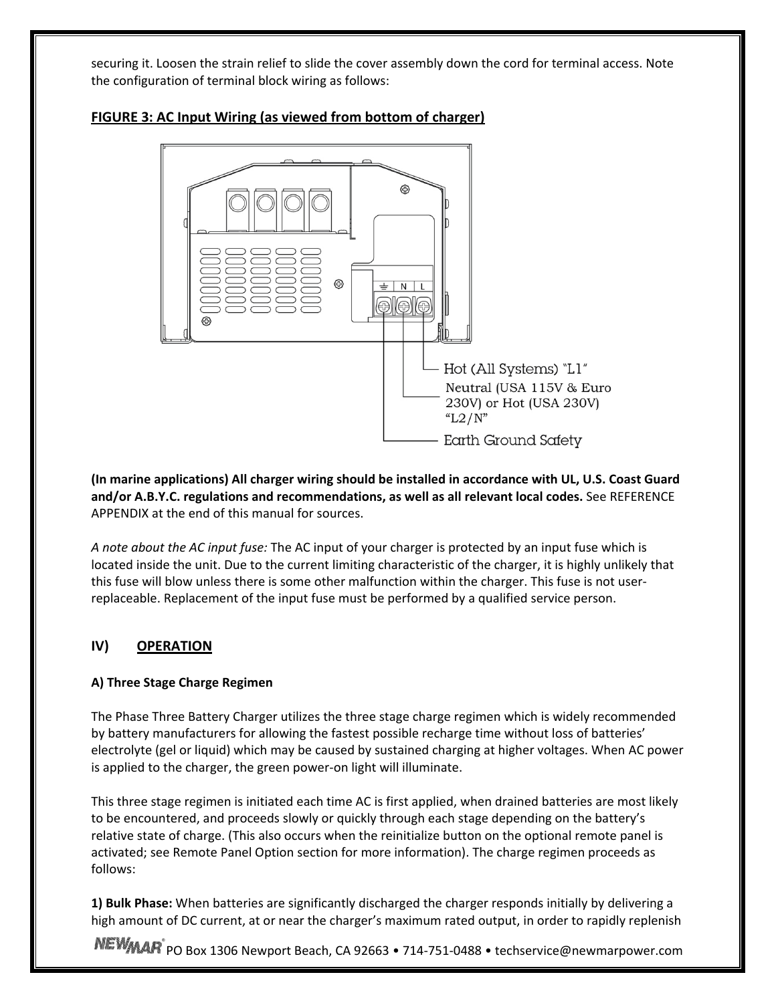securing it. Loosen the strain relief to slide the cover assembly down the cord for terminal access. Note the configuration of terminal block wiring as follows:



# **FIGURE 3: AC Input Wiring (as viewed from bottom of charger)**

**(In marine applications) All charger wiring should be installed in accordance with UL, U.S. Coast Guard and/or A.B.Y.C. regulations and recommendations, as well as all relevant local codes.** See REFERENCE APPENDIX at the end of this manual for sources.

*A note about the AC input fuse:* The AC input of your charger is protected by an input fuse which is located inside the unit. Due to the current limiting characteristic of the charger, it is highly unlikely that this fuse will blow unless there is some other malfunction within the charger. This fuse is not user‐ replaceable. Replacement of the input fuse must be performed by a qualified service person.

# **IV) OPERATION**

# **A) Three Stage Charge Regimen**

The Phase Three Battery Charger utilizes the three stage charge regimen which is widely recommended by battery manufacturers for allowing the fastest possible recharge time without loss of batteries' electrolyte (gel or liquid) which may be caused by sustained charging at higher voltages. When AC power is applied to the charger, the green power‐on light will illuminate.

This three stage regimen is initiated each time AC is first applied, when drained batteries are most likely to be encountered, and proceeds slowly or quickly through each stage depending on the battery's relative state of charge. (This also occurs when the reinitialize button on the optional remote panel is activated; see Remote Panel Option section for more information). The charge regimen proceeds as follows:

**1) Bulk Phase:** When batteries are significantly discharged the charger responds initially by delivering a high amount of DC current, at or near the charger's maximum rated output, in order to rapidly replenish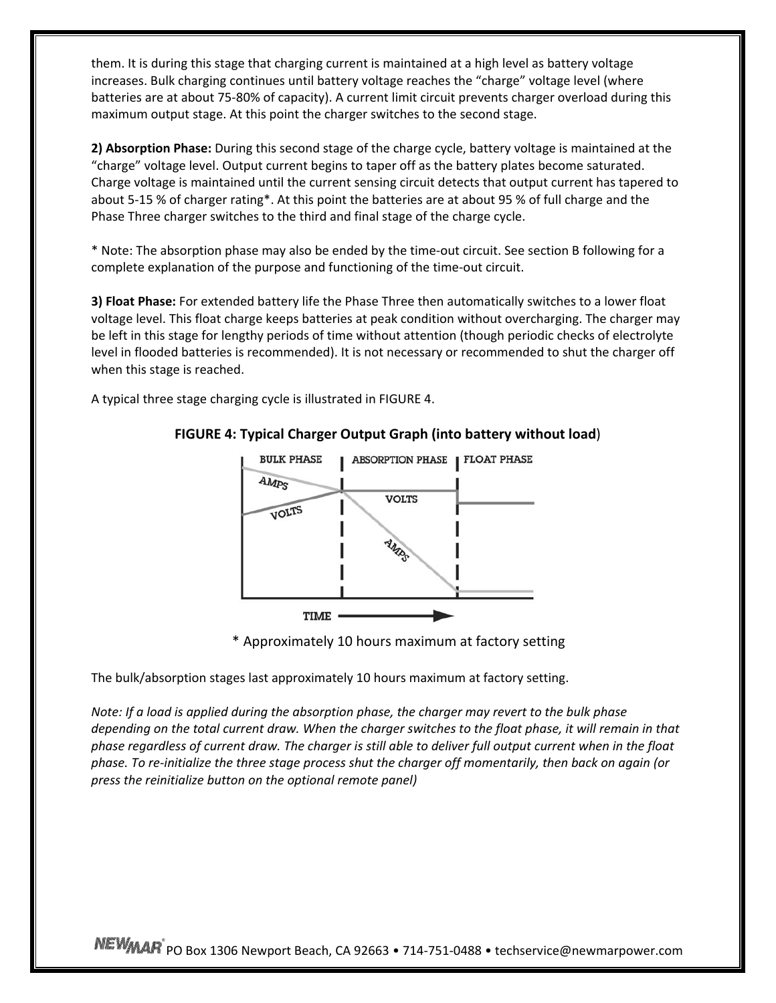them. It is during this stage that charging current is maintained at a high level as battery voltage increases. Bulk charging continues until battery voltage reaches the "charge" voltage level (where batteries are at about 75‐80% of capacity). A current limit circuit prevents charger overload during this maximum output stage. At this point the charger switches to the second stage.

**2) Absorption Phase:** During this second stage of the charge cycle, battery voltage is maintained at the "charge" voltage level. Output current begins to taper off as the battery plates become saturated. Charge voltage is maintained until the current sensing circuit detects that output current has tapered to about 5‐15 % of charger rating\*. At this point the batteries are at about 95 % of full charge and the Phase Three charger switches to the third and final stage of the charge cycle.

\* Note: The absorption phase may also be ended by the time‐out circuit. See section B following for a complete explanation of the purpose and functioning of the time‐out circuit.

**3) Float Phase:** For extended battery life the Phase Three then automatically switches to a lower float voltage level. This float charge keeps batteries at peak condition without overcharging. The charger may be left in this stage for lengthy periods of time without attention (though periodic checks of electrolyte level in flooded batteries is recommended). It is not necessary or recommended to shut the charger off when this stage is reached.

A typical three stage charging cycle is illustrated in FIGURE 4.



# **FIGURE 4: Typical Charger Output Graph (into battery without load**)

\* Approximately 10 hours maximum at factory setting

The bulk/absorption stages last approximately 10 hours maximum at factory setting.

*Note: If a load is applied during the absorption phase, the charger may revert to the bulk phase* depending on the total current draw. When the charger switches to the float phase, it will remain in that phase regardless of current draw. The charger is still able to deliver full output current when in the float phase. To re-initialize the three stage process shut the charger off momentarily, then back on again (or *press the reinitialize button on the optional remote panel)*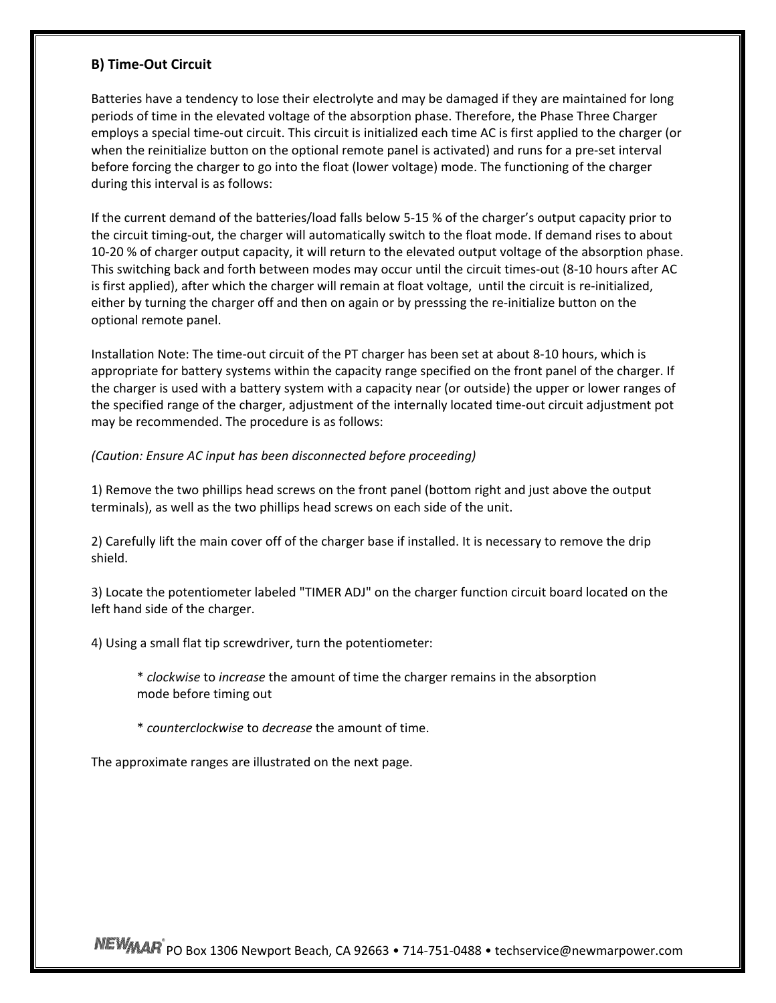#### **B) Time‐Out Circuit**

Batteries have a tendency to lose their electrolyte and may be damaged if they are maintained for long periods of time in the elevated voltage of the absorption phase. Therefore, the Phase Three Charger employs a special time-out circuit. This circuit is initialized each time AC is first applied to the charger (or when the reinitialize button on the optional remote panel is activated) and runs for a pre‐set interval before forcing the charger to go into the float (lower voltage) mode. The functioning of the charger during this interval is as follows:

If the current demand of the batteries/load falls below 5‐15 % of the charger's output capacity prior to the circuit timing‐out, the charger will automatically switch to the float mode. If demand rises to about 10‐20 % of charger output capacity, it will return to the elevated output voltage of the absorption phase. This switching back and forth between modes may occur until the circuit times‐out (8‐10 hours after AC is first applied), after which the charger will remain at float voltage, until the circuit is re-initialized, either by turning the charger off and then on again or by presssing the re-initialize button on the optional remote panel.

Installation Note: The time‐out circuit of the PT charger has been set at about 8‐10 hours, which is appropriate for battery systems within the capacity range specified on the front panel of the charger. If the charger is used with a battery system with a capacity near (or outside) the upper or lower ranges of the specified range of the charger, adjustment of the internally located time‐out circuit adjustment pot may be recommended. The procedure is as follows:

#### *(Caution: Ensure AC input has been disconnected before proceeding)*

1) Remove the two phillips head screws on the front panel (bottom right and just above the output terminals), as well as the two phillips head screws on each side of the unit.

2) Carefully lift the main cover off of the charger base if installed. It is necessary to remove the drip shield.

3) Locate the potentiometer labeled "TIMER ADJ" on the charger function circuit board located on the left hand side of the charger.

4) Using a small flat tip screwdriver, turn the potentiometer:

\* *clockwise* to *increase* the amount of time the charger remains in the absorption mode before timing out

\* *counterclockwise* to *decrease* the amount of time.

The approximate ranges are illustrated on the next page.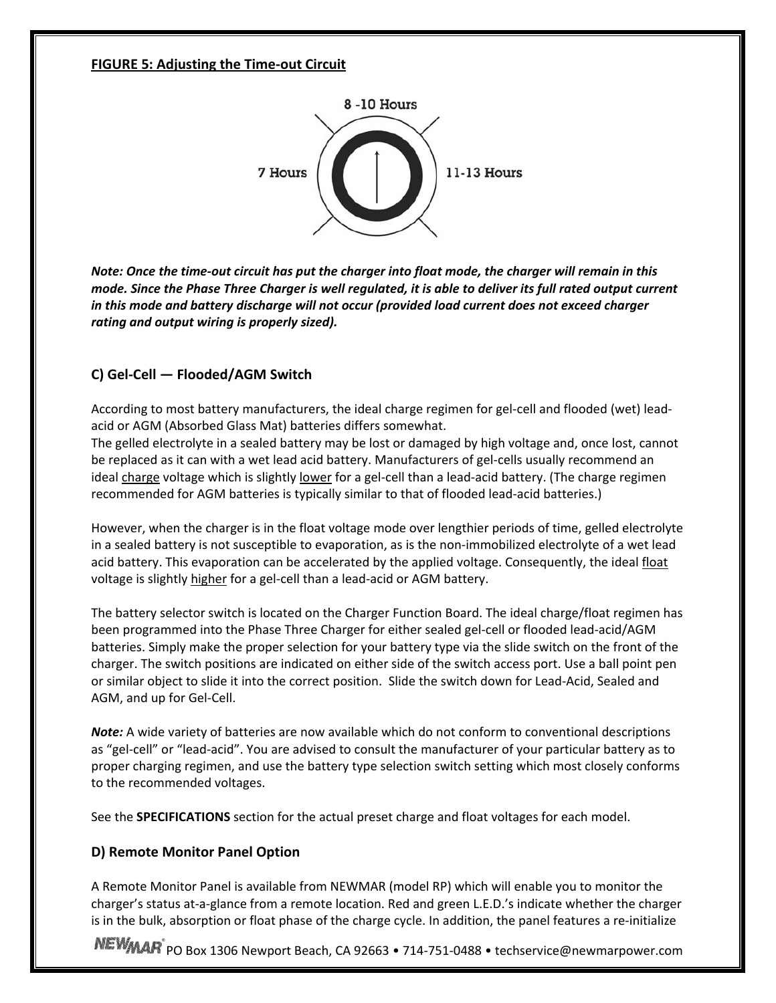#### **FIGURE 5: Adjusting the Time‐out Circuit**



Note: Once the time-out circuit has put the charger into float mode, the charger will remain in this mode. Since the Phase Three Charger is well regulated, it is able to deliver its full rated output current *in this mode and battery discharge will not occur (provided load current does not exceed charger rating and output wiring is properly sized).*

# **C) Gel‐Cell — Flooded/AGM Switch**

According to most battery manufacturers, the ideal charge regimen for gel‐cell and flooded (wet) lead‐ acid or AGM (Absorbed Glass Mat) batteries differs somewhat.

The gelled electrolyte in a sealed battery may be lost or damaged by high voltage and, once lost, cannot be replaced as it can with a wet lead acid battery. Manufacturers of gel-cells usually recommend an ideal charge voltage which is slightly lower for a gel-cell than a lead-acid battery. (The charge regimen recommended for AGM batteries is typically similar to that of flooded lead‐acid batteries.)

However, when the charger is in the float voltage mode over lengthier periods of time, gelled electrolyte in a sealed battery is not susceptible to evaporation, as is the non‐immobilized electrolyte of a wet lead acid battery. This evaporation can be accelerated by the applied voltage. Consequently, the ideal float voltage is slightly higher for a gel‐cell than a lead‐acid or AGM battery.

The battery selector switch is located on the Charger Function Board. The ideal charge/float regimen has been programmed into the Phase Three Charger for either sealed gel‐cell or flooded lead‐acid/AGM batteries. Simply make the proper selection for your battery type via the slide switch on the front of the charger. The switch positions are indicated on either side of the switch access port. Use a ball point pen or similar object to slide it into the correct position. Slide the switch down for Lead‐Acid, Sealed and AGM, and up for Gel‐Cell.

*Note:* A wide variety of batteries are now available which do not conform to conventional descriptions as "gel-cell" or "lead-acid". You are advised to consult the manufacturer of your particular battery as to proper charging regimen, and use the battery type selection switch setting which most closely conforms to the recommended voltages.

See the **SPECIFICATIONS** section for the actual preset charge and float voltages for each model.

# **D) Remote Monitor Panel Option**

A Remote Monitor Panel is available from NEWMAR (model RP) which will enable you to monitor the charger's status at‐a‐glance from a remote location. Red and green L.E.D.'s indicate whether the charger is in the bulk, absorption or float phase of the charge cycle. In addition, the panel features a re-initialize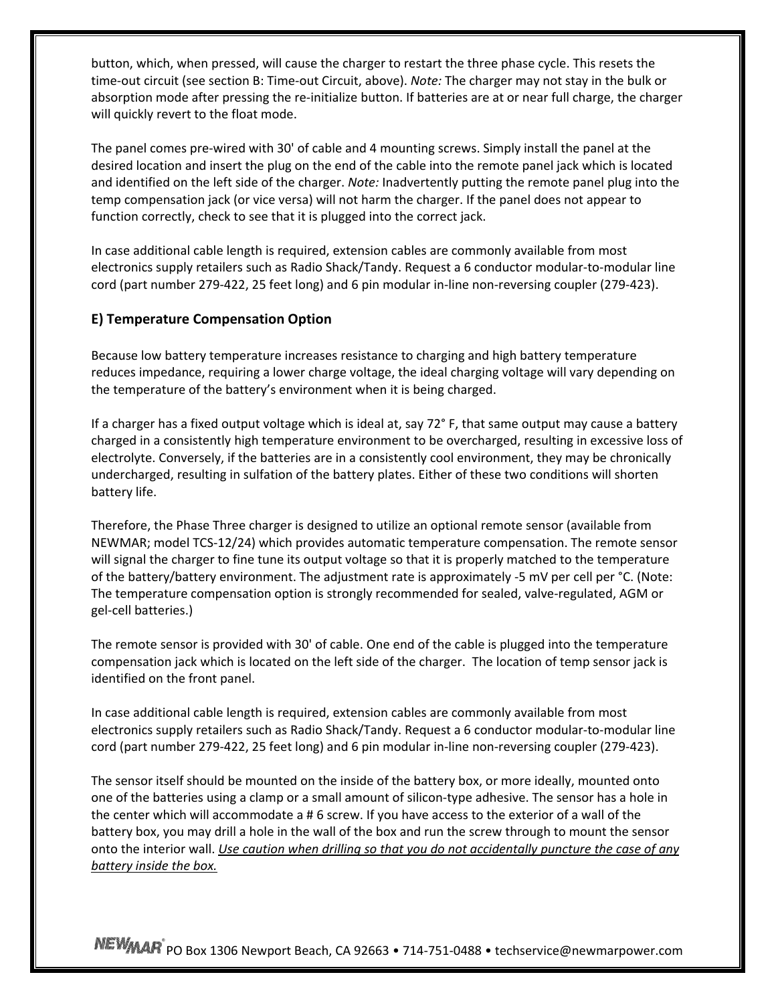button, which, when pressed, will cause the charger to restart the three phase cycle. This resets the time‐out circuit (see section B: Time‐out Circuit, above). *Note:* The charger may not stay in the bulk or absorption mode after pressing the re-initialize button. If batteries are at or near full charge, the charger will quickly revert to the float mode.

The panel comes pre-wired with 30' of cable and 4 mounting screws. Simply install the panel at the desired location and insert the plug on the end of the cable into the remote panel jack which is located and identified on the left side of the charger. *Note:* Inadvertently putting the remote panel plug into the temp compensation jack (or vice versa) will not harm the charger. If the panel does not appear to function correctly, check to see that it is plugged into the correct jack.

In case additional cable length is required, extension cables are commonly available from most electronics supply retailers such as Radio Shack/Tandy. Request a 6 conductor modular‐to‐modular line cord (part number 279-422, 25 feet long) and 6 pin modular in-line non-reversing coupler (279-423).

#### **E) Temperature Compensation Option**

Because low battery temperature increases resistance to charging and high battery temperature reduces impedance, requiring a lower charge voltage, the ideal charging voltage will vary depending on the temperature of the battery's environment when it is being charged.

If a charger has a fixed output voltage which is ideal at, say 72° F, that same output may cause a battery charged in a consistently high temperature environment to be overcharged, resulting in excessive loss of electrolyte. Conversely, if the batteries are in a consistently cool environment, they may be chronically undercharged, resulting in sulfation of the battery plates. Either of these two conditions will shorten battery life.

Therefore, the Phase Three charger is designed to utilize an optional remote sensor (available from NEWMAR; model TCS‐12/24) which provides automatic temperature compensation. The remote sensor will signal the charger to fine tune its output voltage so that it is properly matched to the temperature of the battery/battery environment. The adjustment rate is approximately ‐5 mV per cell per °C. (Note: The temperature compensation option is strongly recommended for sealed, valve‐regulated, AGM or gel‐cell batteries.)

The remote sensor is provided with 30' of cable. One end of the cable is plugged into the temperature compensation jack which is located on the left side of the charger. The location of temp sensor jack is identified on the front panel.

In case additional cable length is required, extension cables are commonly available from most electronics supply retailers such as Radio Shack/Tandy. Request a 6 conductor modular‐to‐modular line cord (part number 279‐422, 25 feet long) and 6 pin modular in‐line non‐reversing coupler (279‐423).

The sensor itself should be mounted on the inside of the battery box, or more ideally, mounted onto one of the batteries using a clamp or a small amount of silicon‐type adhesive. The sensor has a hole in the center which will accommodate a # 6 screw. If you have access to the exterior of a wall of the battery box, you may drill a hole in the wall of the box and run the screw through to mount the sensor onto the interior wall. *Use caution when drilling so that you do not accidentally puncture the case of any battery inside the box.*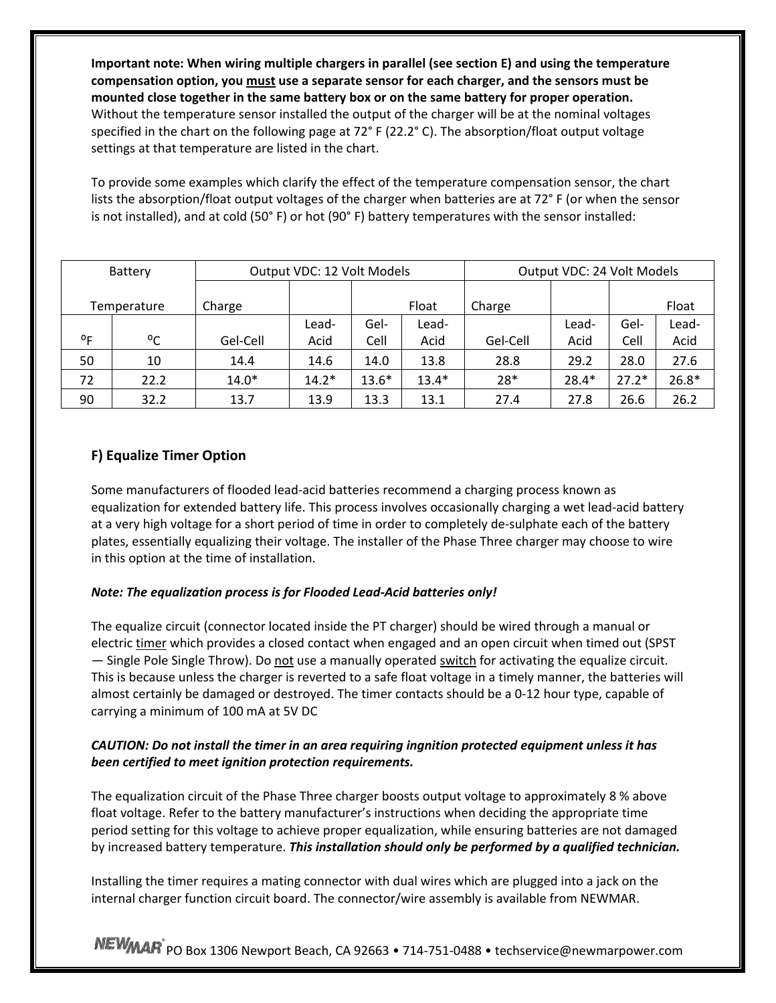**Important note: When wiring multiple chargers in parallel (see section E) and using the temperature compensation option, you must use a separate sensor for each charger, and the sensors must be mounted close together in the same battery box or on the same battery for proper operation.** Without the temperature sensor installed the output of the charger will be at the nominal voltages specified in the chart on the following page at 72° F (22.2° C). The absorption/float output voltage settings at that temperature are listed in the chart.

To provide some examples which clarify the effect of the temperature compensation sensor, the chart lists the absorption/float output voltages of the charger when batteries are at 72° F (or when the sensor is not installed), and at cold (50° F) or hot (90° F) battery temperatures with the sensor installed:

| Battery        |              | Output VDC: 12 Volt Models |         |         | Output VDC: 24 Volt Models |          |         |         |         |
|----------------|--------------|----------------------------|---------|---------|----------------------------|----------|---------|---------|---------|
|                | Temperature  | Charge                     |         |         | Float                      | Charge   |         |         | Float   |
|                |              |                            | Lead-   | Gel-    | Lead-                      |          | Lead-   | Gel-    | Lead-   |
| 0 <sub>F</sub> | $^{\circ}$ C | Gel-Cell                   | Acid    | Cell    | Acid                       | Gel-Cell | Acid    | Cell    | Acid    |
| 50             | 10           | 14.4                       | 14.6    | 14.0    | 13.8                       | 28.8     | 29.2    | 28.0    | 27.6    |
| 72             | 22.2         | $14.0*$                    | $14.2*$ | $13.6*$ | $13.4*$                    | 28*      | $28.4*$ | $27.2*$ | $26.8*$ |
| 90             | 32.2         | 13.7                       | 13.9    | 13.3    | 13.1                       | 27.4     | 27.8    | 26.6    | 26.2    |

# **F) Equalize Timer Option**

Some manufacturers of flooded lead‐acid batteries recommend a charging process known as equalization for extended battery life. This process involves occasionally charging a wet lead‐acid battery at a very high voltage for a short period of time in order to completely de‐sulphate each of the battery plates, essentially equalizing their voltage. The installer of the Phase Three charger may choose to wire in this option at the time of installation.

#### *Note: The equalization process is for Flooded Lead‐Acid batteries only!*

The equalize circuit (connector located inside the PT charger) should be wired through a manual or electric timer which provides a closed contact when engaged and an open circuit when timed out (SPST — Single Pole Single Throw). Do not use a manually operated switch for activating the equalize circuit. This is because unless the charger is reverted to a safe float voltage in a timely manner, the batteries will almost certainly be damaged or destroyed. The timer contacts should be a 0‐12 hour type, capable of carrying a minimum of 100 mA at 5V DC

# *CAUTION: Do not install the timer in an area requiring ingnition protected equipment unless it has been certified to meet ignition protection requirements.*

The equalization circuit of the Phase Three charger boosts output voltage to approximately 8 % above float voltage. Refer to the battery manufacturer's instructions when deciding the appropriate time period setting for this voltage to achieve proper equalization, while ensuring batteries are not damaged by increased battery temperature. *This installation should only be performed by a qualified technician.*

Installing the timer requires a mating connector with dual wires which are plugged into a jack on the internal charger function circuit board. The connector/wire assembly is available from NEWMAR.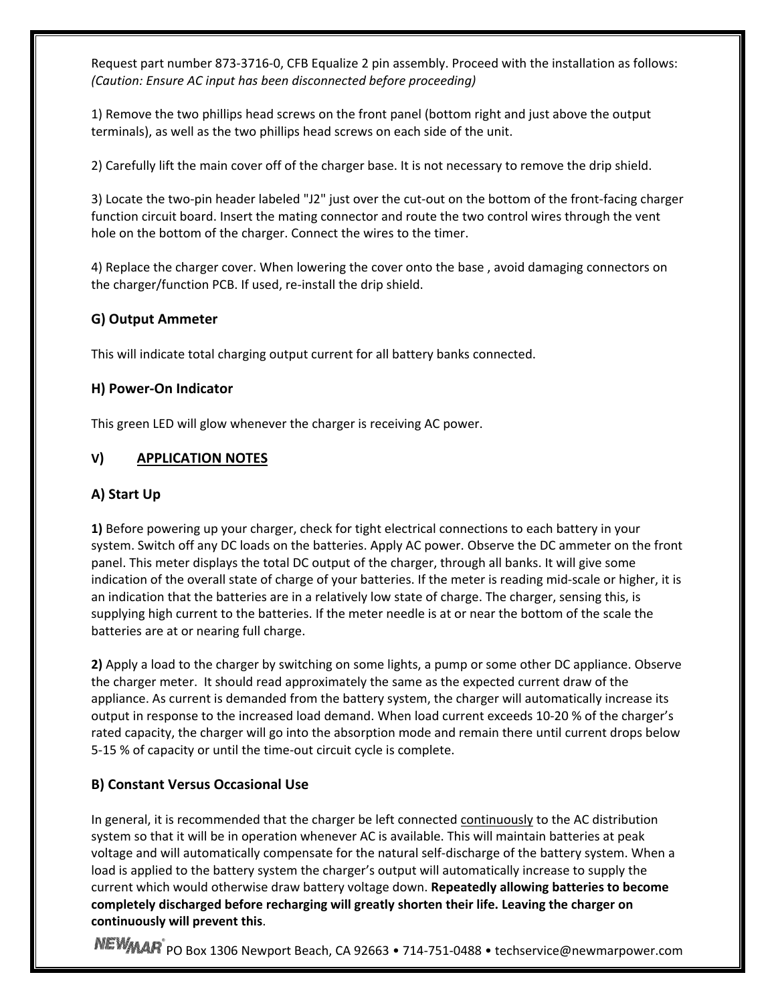Request part number 873‐3716‐0, CFB Equalize 2 pin assembly. Proceed with the installation as follows: *(Caution: Ensure AC input has been disconnected before proceeding)*

1) Remove the two phillips head screws on the front panel (bottom right and just above the output terminals), as well as the two phillips head screws on each side of the unit.

2) Carefully lift the main cover off of the charger base. It is not necessary to remove the drip shield.

3) Locate the two‐pin header labeled "J2" just over the cut‐out on the bottom of the front‐facing charger function circuit board. Insert the mating connector and route the two control wires through the vent hole on the bottom of the charger. Connect the wires to the timer.

4) Replace the charger cover. When lowering the cover onto the base , avoid damaging connectors on the charger/function PCB. If used, re-install the drip shield.

# **G) Output Ammeter**

This will indicate total charging output current for all battery banks connected.

# **H) Power‐On Indicator**

This green LED will glow whenever the charger is receiving AC power.

# **V) APPLICATION NOTES**

# **A) Start Up**

**1)** Before powering up your charger, check for tight electrical connections to each battery in your system. Switch off any DC loads on the batteries. Apply AC power. Observe the DC ammeter on the front panel. This meter displays the total DC output of the charger, through all banks. It will give some indication of the overall state of charge of your batteries. If the meter is reading mid-scale or higher, it is an indication that the batteries are in a relatively low state of charge. The charger, sensing this, is supplying high current to the batteries. If the meter needle is at or near the bottom of the scale the batteries are at or nearing full charge.

**2)** Apply a load to the charger by switching on some lights, a pump or some other DC appliance. Observe the charger meter. It should read approximately the same as the expected current draw of the appliance. As current is demanded from the battery system, the charger will automatically increase its output in response to the increased load demand. When load current exceeds 10‐20 % of the charger's rated capacity, the charger will go into the absorption mode and remain there until current drops below 5-15 % of capacity or until the time-out circuit cycle is complete.

# **B) Constant Versus Occasional Use**

In general, it is recommended that the charger be left connected continuously to the AC distribution system so that it will be in operation whenever AC is available. This will maintain batteries at peak voltage and will automatically compensate for the natural self‐discharge of the battery system. When a load is applied to the battery system the charger's output will automatically increase to supply the current which would otherwise draw battery voltage down. **Repeatedly allowing batteries to become completely discharged before recharging will greatly shorten their life. Leaving the charger on continuously will prevent this**.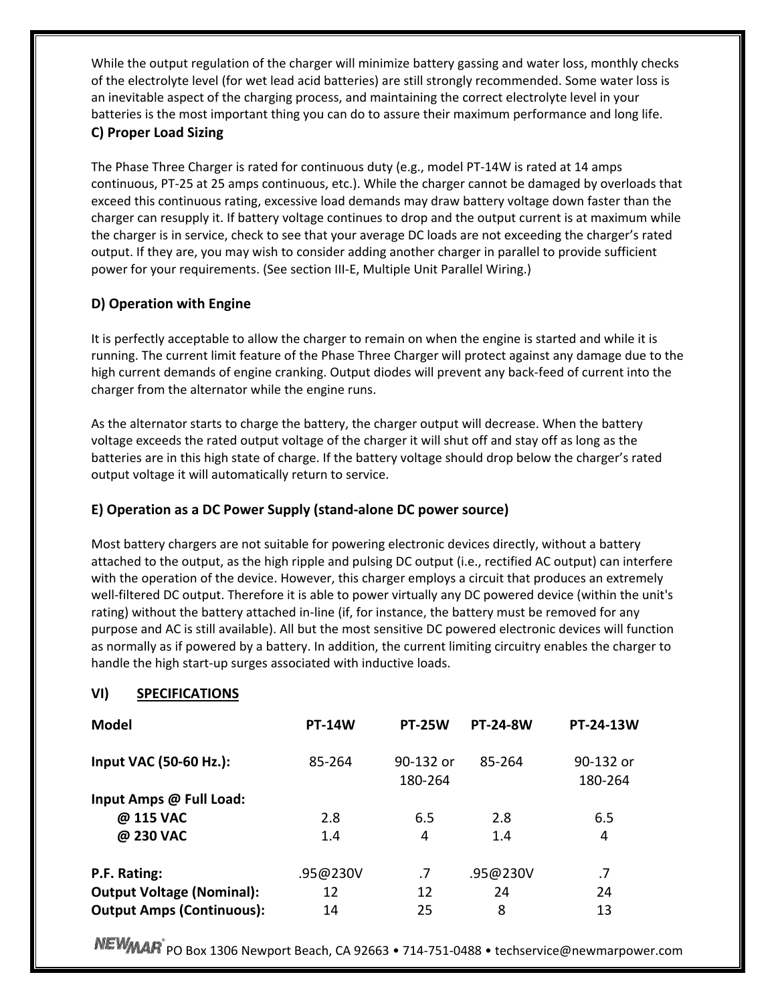While the output regulation of the charger will minimize battery gassing and water loss, monthly checks of the electrolyte level (for wet lead acid batteries) are still strongly recommended. Some water loss is an inevitable aspect of the charging process, and maintaining the correct electrolyte level in your batteries is the most important thing you can do to assure their maximum performance and long life. **C) Proper Load Sizing**

The Phase Three Charger is rated for continuous duty (e.g., model PT‐14W is rated at 14 amps continuous, PT‐25 at 25 amps continuous, etc.). While the charger cannot be damaged by overloads that exceed this continuous rating, excessive load demands may draw battery voltage down faster than the charger can resupply it. If battery voltage continues to drop and the output current is at maximum while the charger is in service, check to see that your average DC loads are not exceeding the charger's rated output. If they are, you may wish to consider adding another charger in parallel to provide sufficient power for your requirements. (See section III‐E, Multiple Unit Parallel Wiring.)

# **D) Operation with Engine**

It is perfectly acceptable to allow the charger to remain on when the engine is started and while it is running. The current limit feature of the Phase Three Charger will protect against any damage due to the high current demands of engine cranking. Output diodes will prevent any back‐feed of current into the charger from the alternator while the engine runs.

As the alternator starts to charge the battery, the charger output will decrease. When the battery voltage exceeds the rated output voltage of the charger it will shut off and stay off as long as the batteries are in this high state of charge. If the battery voltage should drop below the charger's rated output voltage it will automatically return to service.

# **E) Operation as a DC Power Supply (stand‐alone DC power source)**

Most battery chargers are not suitable for powering electronic devices directly, without a battery attached to the output, as the high ripple and pulsing DC output (i.e., rectified AC output) can interfere with the operation of the device. However, this charger employs a circuit that produces an extremely well-filtered DC output. Therefore it is able to power virtually any DC powered device (within the unit's rating) without the battery attached in-line (if, for instance, the battery must be removed for any purpose and AC is still available). All but the most sensitive DC powered electronic devices will function as normally as if powered by a battery. In addition, the current limiting circuitry enables the charger to handle the high start‐up surges associated with inductive loads.

# **VI) SPECIFICATIONS**

| <b>Model</b>                     | <b>PT-14W</b> | <b>PT-25W</b>          | <b>PT-24-8W</b> | <b>PT-24-13W</b>     |
|----------------------------------|---------------|------------------------|-----------------|----------------------|
| <b>Input VAC (50-60 Hz.):</b>    | 85-264        | $90-132$ or<br>180-264 | 85-264          | 90-132 or<br>180-264 |
| Input Amps @ Full Load:          |               |                        |                 |                      |
| @ 115 VAC                        | 2.8           | 6.5                    | 2.8             | 6.5                  |
| @ 230 VAC                        | 1.4           | 4                      | 1.4             | 4                    |
| P.F. Rating:                     | .95@230V      | .7                     | .95@230V        | .7                   |
| <b>Output Voltage (Nominal):</b> | 12            | 12                     | 24              | 24                   |
| <b>Output Amps (Continuous):</b> | 14            | 25                     | 8               | 13                   |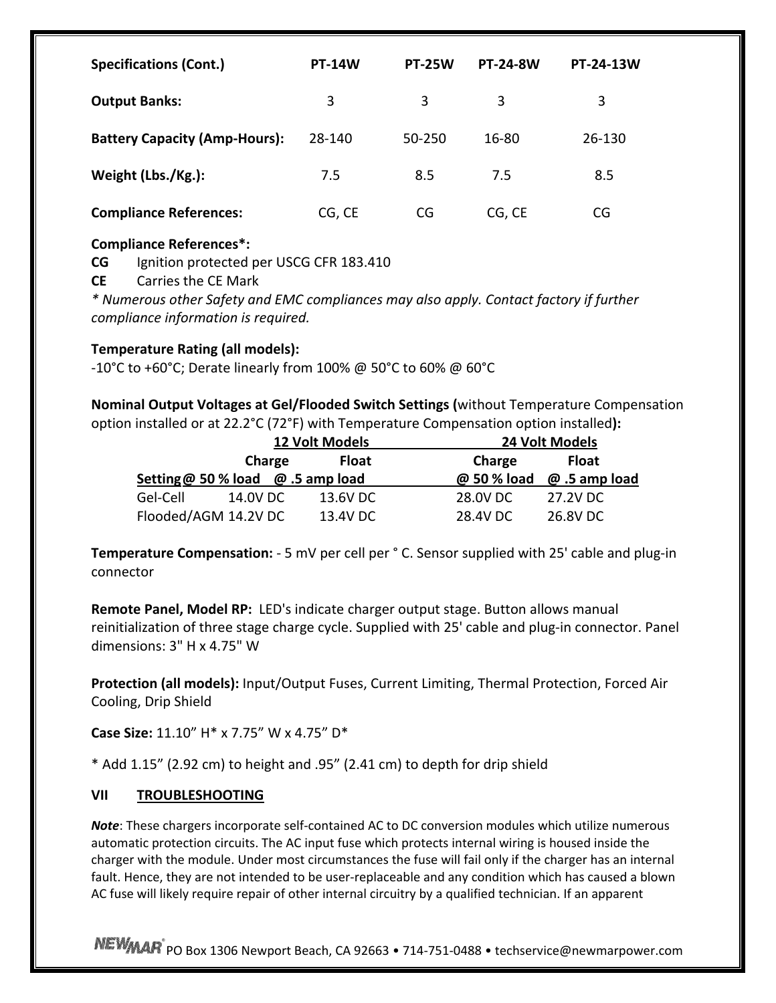| <b>Specifications (Cont.)</b>        | <b>PT-14W</b> | <b>PT-25W</b> | <b>PT-24-8W</b> | <b>PT-24-13W</b> |
|--------------------------------------|---------------|---------------|-----------------|------------------|
| <b>Output Banks:</b>                 | 3             | 3             | 3               | 3                |
| <b>Battery Capacity (Amp-Hours):</b> | 28-140        | 50-250        | 16-80           | 26-130           |
| Weight (Lbs./Kg.):                   | 7.5           | 8.5           | 7.5             | 8.5              |
| <b>Compliance References:</b>        | CG, CE        | CG            | CG, CE          | CG               |

# **Compliance References\*:**

**CG** Ignition protected per USCG CFR 183.410

**CE** Carries the CE Mark

*\* Numerous other Safety and EMC compliances may also apply. Contact factory if further compliance information is required.*

# **Temperature Rating (all models):**

‐10°C to +60°C; Derate linearly from 100% @ 50°C to 60% @ 60°C

**Nominal Output Voltages at Gel/Flooded Switch Settings (**without Temperature Compensation option installed or at 22.2°C (72°F) with Temperature Compensation option installed**):**

|                                          |          | <b>12 Volt Models</b> |              |             | 24 Volt Models |
|------------------------------------------|----------|-----------------------|--------------|-------------|----------------|
|                                          | Charge   |                       | <b>Float</b> | Charge      | <b>Float</b>   |
| Setting @ 50 % load $\omega$ .5 amp load |          |                       |              | @ 50 % load | @ .5 amp load  |
| Gel-Cell                                 | 14.0V DC |                       | 13.6V DC     | 28.0V DC    | 27.2V DC       |
| Flooded/AGM 14.2V DC                     |          |                       | 13.4V DC     | 28.4V DC    | 26.8V DC       |

**Temperature Compensation:** ‐ 5 mV per cell per ° C. Sensor supplied with 25' cable and plug‐in connector

**Remote Panel, Model RP:** LED's indicate charger output stage. Button allows manual reinitialization of three stage charge cycle. Supplied with 25' cable and plug‐in connector. Panel dimensions: 3" H x 4.75" W

**Protection (all models):** Input/Output Fuses, Current Limiting, Thermal Protection, Forced Air Cooling, Drip Shield

**Case Size:** 11.10" H\* x 7.75" W x 4.75" D\*

\* Add 1.15" (2.92 cm) to height and .95" (2.41 cm) to depth for drip shield

# **VII TROUBLESHOOTING**

*Note*: These chargers incorporate self-contained AC to DC conversion modules which utilize numerous automatic protection circuits. The AC input fuse which protects internal wiring is housed inside the charger with the module. Under most circumstances the fuse will fail only if the charger has an internal fault. Hence, they are not intended to be user-replaceable and any condition which has caused a blown AC fuse will likely require repair of other internal circuitry by a qualified technician. If an apparent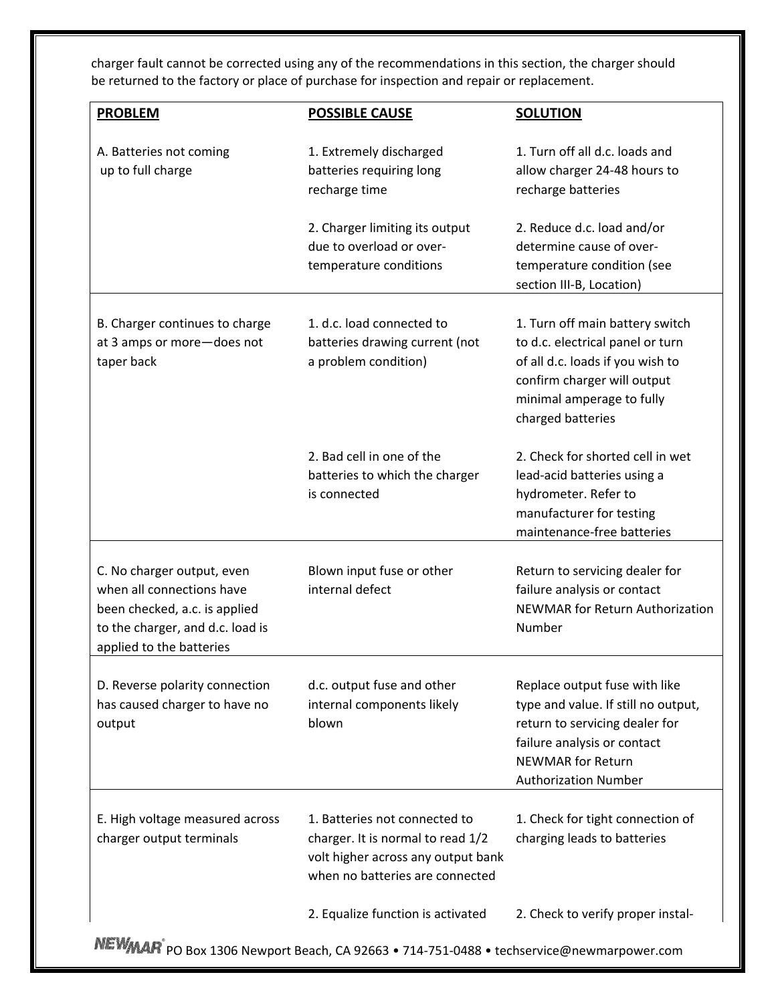charger fault cannot be corrected using any of the recommendations in this section, the charger should be returned to the factory or place of purchase for inspection and repair or replacement.

| <b>PROBLEM</b>                                                                                                                                           | <b>POSSIBLE CAUSE</b>                                                                                                                       | <b>SOLUTION</b>                                                                                                                                                                                  |
|----------------------------------------------------------------------------------------------------------------------------------------------------------|---------------------------------------------------------------------------------------------------------------------------------------------|--------------------------------------------------------------------------------------------------------------------------------------------------------------------------------------------------|
| A. Batteries not coming<br>up to full charge                                                                                                             | 1. Extremely discharged<br>batteries requiring long<br>recharge time                                                                        | 1. Turn off all d.c. loads and<br>allow charger 24-48 hours to<br>recharge batteries                                                                                                             |
|                                                                                                                                                          | 2. Charger limiting its output<br>due to overload or over-<br>temperature conditions                                                        | 2. Reduce d.c. load and/or<br>determine cause of over-<br>temperature condition (see<br>section III-B, Location)                                                                                 |
| B. Charger continues to charge<br>at 3 amps or more-does not<br>taper back                                                                               | 1. d.c. load connected to<br>batteries drawing current (not<br>a problem condition)                                                         | 1. Turn off main battery switch<br>to d.c. electrical panel or turn<br>of all d.c. loads if you wish to<br>confirm charger will output<br>minimal amperage to fully<br>charged batteries         |
|                                                                                                                                                          | 2. Bad cell in one of the<br>batteries to which the charger<br>is connected                                                                 | 2. Check for shorted cell in wet<br>lead-acid batteries using a<br>hydrometer. Refer to<br>manufacturer for testing<br>maintenance-free batteries                                                |
| C. No charger output, even<br>when all connections have<br>been checked, a.c. is applied<br>to the charger, and d.c. load is<br>applied to the batteries | Blown input fuse or other<br>internal defect                                                                                                | Return to servicing dealer for<br>failure analysis or contact<br>NEWMAR for Return Authorization<br>Number                                                                                       |
| D. Reverse polarity connection<br>has caused charger to have no<br>output                                                                                | d.c. output fuse and other<br>internal components likely<br>blown                                                                           | Replace output fuse with like<br>type and value. If still no output,<br>return to servicing dealer for<br>failure analysis or contact<br><b>NEWMAR for Return</b><br><b>Authorization Number</b> |
| E. High voltage measured across<br>charger output terminals                                                                                              | 1. Batteries not connected to<br>charger. It is normal to read 1/2<br>volt higher across any output bank<br>when no batteries are connected | 1. Check for tight connection of<br>charging leads to batteries                                                                                                                                  |
|                                                                                                                                                          | 2. Equalize function is activated                                                                                                           | 2. Check to verify proper instal-                                                                                                                                                                |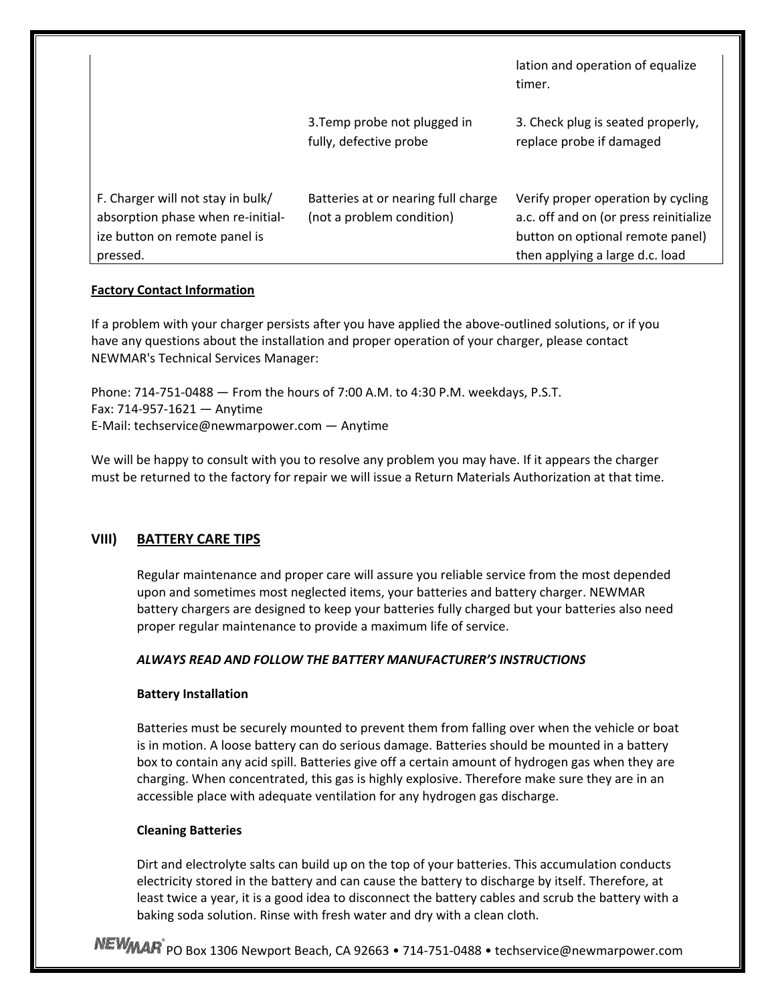|                                                                                                                     |                                                                  | lation and operation of equalize<br>timer.                                                                                                          |
|---------------------------------------------------------------------------------------------------------------------|------------------------------------------------------------------|-----------------------------------------------------------------------------------------------------------------------------------------------------|
|                                                                                                                     | 3. Temp probe not plugged in<br>fully, defective probe           | 3. Check plug is seated properly,<br>replace probe if damaged                                                                                       |
| F. Charger will not stay in bulk/<br>absorption phase when re-initial-<br>ize button on remote panel is<br>pressed. | Batteries at or nearing full charge<br>(not a problem condition) | Verify proper operation by cycling<br>a.c. off and on (or press reinitialize<br>button on optional remote panel)<br>then applying a large d.c. load |

#### **Factory Contact Information**

If a problem with your charger persists after you have applied the above‐outlined solutions, or if you have any questions about the installation and proper operation of your charger, please contact NEWMAR's Technical Services Manager:

Phone: 714‐751‐0488 — From the hours of 7:00 A.M. to 4:30 P.M. weekdays, P.S.T. Fax: 714‐957‐1621 — Anytime E‐Mail: techservice@newmarpower.com — Anytime

We will be happy to consult with you to resolve any problem you may have. If it appears the charger must be returned to the factory for repair we will issue a Return Materials Authorization at that time.

# **VIII) BATTERY CARE TIPS**

Regular maintenance and proper care will assure you reliable service from the most depended upon and sometimes most neglected items, your batteries and battery charger. NEWMAR battery chargers are designed to keep your batteries fully charged but your batteries also need proper regular maintenance to provide a maximum life of service.

# *ALWAYS READ AND FOLLOW THE BATTERY MANUFACTURER'S INSTRUCTIONS*

#### **Battery Installation**

Batteries must be securely mounted to prevent them from falling over when the vehicle or boat is in motion. A loose battery can do serious damage. Batteries should be mounted in a battery box to contain any acid spill. Batteries give off a certain amount of hydrogen gas when they are charging. When concentrated, this gas is highly explosive. Therefore make sure they are in an accessible place with adequate ventilation for any hydrogen gas discharge.

#### **Cleaning Batteries**

Dirt and electrolyte salts can build up on the top of your batteries. This accumulation conducts electricity stored in the battery and can cause the battery to discharge by itself. Therefore, at least twice a year, it is a good idea to disconnect the battery cables and scrub the battery with a baking soda solution. Rinse with fresh water and dry with a clean cloth.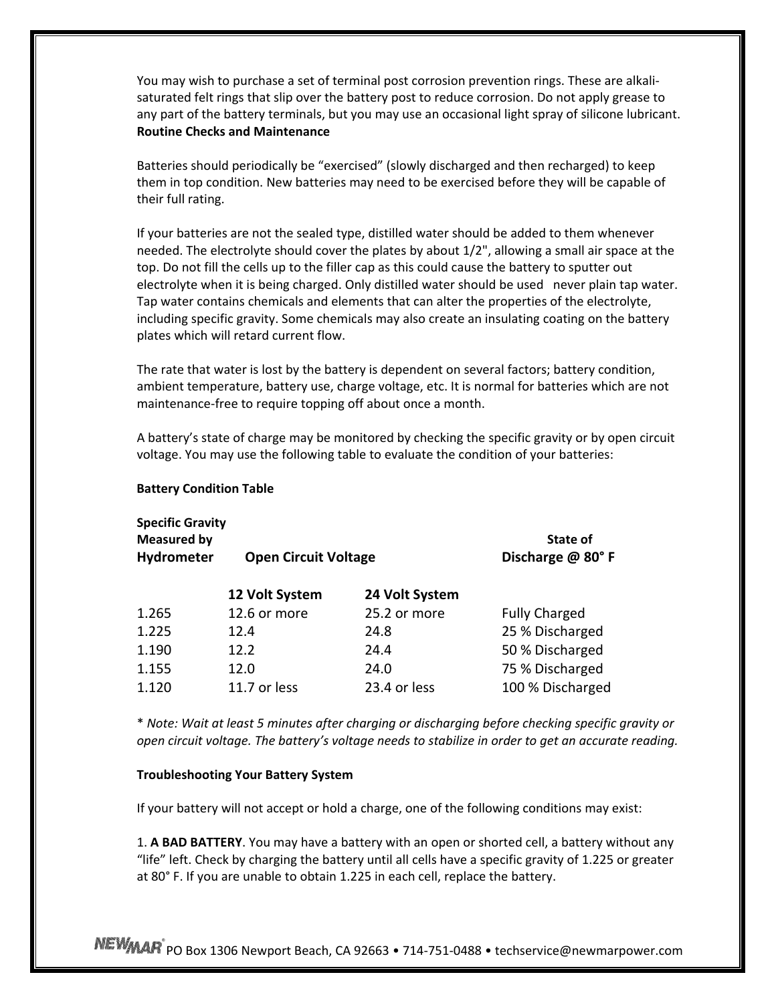You may wish to purchase a set of terminal post corrosion prevention rings. These are alkali‐ saturated felt rings that slip over the battery post to reduce corrosion. Do not apply grease to any part of the battery terminals, but you may use an occasional light spray of silicone lubricant. **Routine Checks and Maintenance**

Batteries should periodically be "exercised" (slowly discharged and then recharged) to keep them in top condition. New batteries may need to be exercised before they will be capable of their full rating.

If your batteries are not the sealed type, distilled water should be added to them whenever needed. The electrolyte should cover the plates by about 1/2", allowing a small air space at the top. Do not fill the cells up to the filler cap as this could cause the battery to sputter out electrolyte when it is being charged. Only distilled water should be used never plain tap water. Tap water contains chemicals and elements that can alter the properties of the electrolyte, including specific gravity. Some chemicals may also create an insulating coating on the battery plates which will retard current flow.

The rate that water is lost by the battery is dependent on several factors; battery condition, ambient temperature, battery use, charge voltage, etc. It is normal for batteries which are not maintenance‐free to require topping off about once a month.

A battery's state of charge may be monitored by checking the specific gravity or by open circuit voltage. You may use the following table to evaluate the condition of your batteries:

 **Battery Condition Table**

| <b>Specific Gravity</b><br><b>Measured by</b> |                             | State of         |                      |
|-----------------------------------------------|-----------------------------|------------------|----------------------|
| Hydrometer                                    | <b>Open Circuit Voltage</b> | Discharge @ 80°F |                      |
|                                               | 12 Volt System              | 24 Volt System   |                      |
| 1.265                                         | 12.6 or more                | 25.2 or more     | <b>Fully Charged</b> |
| 1.225                                         | 12.4                        | 24.8             | 25 % Discharged      |
| 1.190                                         | 12.2                        | 24.4             | 50 % Discharged      |
| 1.155                                         | 12.0                        | 24.0             | 75 % Discharged      |
| 1.120                                         | 11.7 or less                | 23.4 or less     | 100 % Discharged     |

\* *Note: Wait at least 5 minutes after charging or discharging before checking specific gravity or open circuit voltage. The battery's voltage needs to stabilize in order to get an accurate reading.*

#### **Troubleshooting Your Battery System**

If your battery will not accept or hold a charge, one of the following conditions may exist:

1. **A BAD BATTERY**. You may have a battery with an open or shorted cell, a battery without any "life" left. Check by charging the battery until all cells have a specific gravity of 1.225 or greater at 80° F. If you are unable to obtain 1.225 in each cell, replace the battery.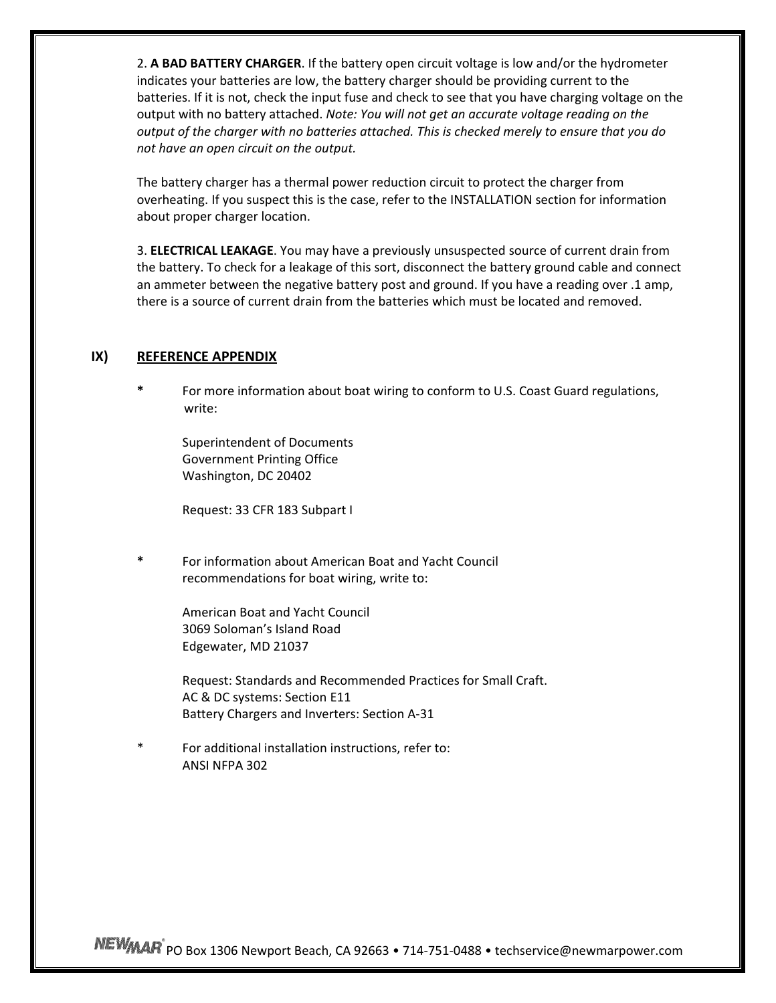2. **A BAD BATTERY CHARGER**. If the battery open circuit voltage is low and/or the hydrometer indicates your batteries are low, the battery charger should be providing current to the batteries. If it is not, check the input fuse and check to see that you have charging voltage on the output with no battery attached. *Note: You will not get an accurate voltage reading on the output of the charger with no batteries attached. This is checked merely to ensure that you do not have an open circuit on the output.*

The battery charger has a thermal power reduction circuit to protect the charger from overheating. If you suspect this is the case, refer to the INSTALLATION section for information about proper charger location.

3. **ELECTRICAL LEAKAGE**. You may have a previously unsuspected source of current drain from the battery. To check for a leakage of this sort, disconnect the battery ground cable and connect an ammeter between the negative battery post and ground. If you have a reading over .1 amp, there is a source of current drain from the batteries which must be located and removed.

#### **IX) REFERENCE APPENDIX**

**\*** For more information about boat wiring to conform to U.S. Coast Guard regulations, write:

Superintendent of Documents Government Printing Office Washington, DC 20402

Request: 33 CFR 183 Subpart I

**\*** For information about American Boat and Yacht Council recommendations for boat wiring, write to:

> American Boat and Yacht Council 3069 Soloman's Island Road Edgewater, MD 21037

Request: Standards and Recommended Practices for Small Craft. AC & DC systems: Section E11 Battery Chargers and Inverters: Section A‐31

For additional installation instructions, refer to: ANSI NFPA 302